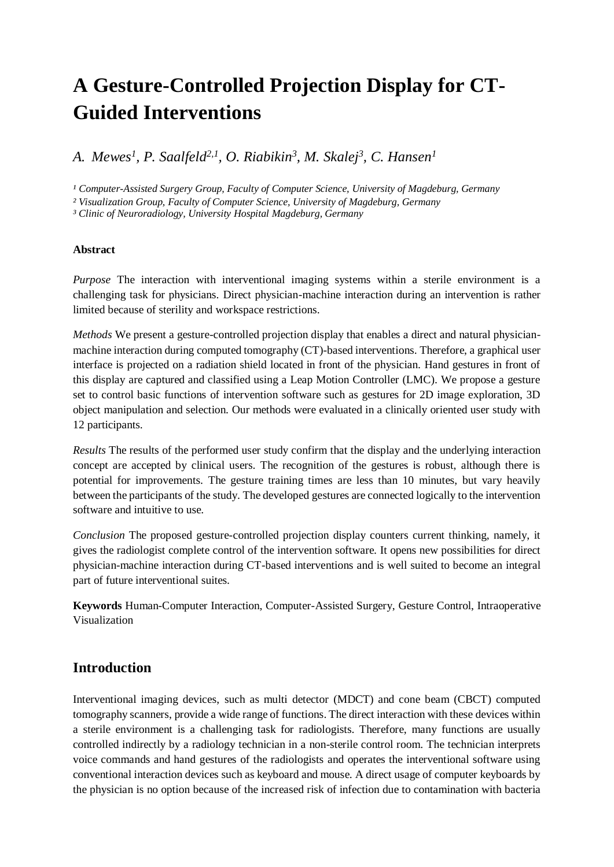# **A Gesture-Controlled Projection Display for CT-Guided Interventions**

*A. Mewes<sup>1</sup> , P. Saalfeld2,1, O. Riabikin<sup>3</sup> , M. Skalej<sup>3</sup> , C. Hansen<sup>1</sup>*

<sup>1</sup> Computer-Assisted Surgery Group, Faculty of Computer Science, University of Magdeburg, Germany

*² Visualization Group, Faculty of Computer Science, University of Magdeburg, Germany*

*³ Clinic of Neuroradiology, University Hospital Magdeburg, Germany*

#### **Abstract**

*Purpose* The interaction with interventional imaging systems within a sterile environment is a challenging task for physicians. Direct physician-machine interaction during an intervention is rather limited because of sterility and workspace restrictions.

*Methods* We present a gesture-controlled projection display that enables a direct and natural physicianmachine interaction during computed tomography (CT)-based interventions. Therefore, a graphical user interface is projected on a radiation shield located in front of the physician. Hand gestures in front of this display are captured and classified using a Leap Motion Controller (LMC). We propose a gesture set to control basic functions of intervention software such as gestures for 2D image exploration, 3D object manipulation and selection. Our methods were evaluated in a clinically oriented user study with 12 participants.

*Results* The results of the performed user study confirm that the display and the underlying interaction concept are accepted by clinical users. The recognition of the gestures is robust, although there is potential for improvements. The gesture training times are less than 10 minutes, but vary heavily between the participants of the study. The developed gestures are connected logically to the intervention software and intuitive to use.

*Conclusion* The proposed gesture-controlled projection display counters current thinking, namely, it gives the radiologist complete control of the intervention software. It opens new possibilities for direct physician-machine interaction during CT-based interventions and is well suited to become an integral part of future interventional suites.

**Keywords** Human-Computer Interaction, Computer-Assisted Surgery, Gesture Control, Intraoperative Visualization

## **Introduction**

Interventional imaging devices, such as multi detector (MDCT) and cone beam (CBCT) computed tomography scanners, provide a wide range of functions. The direct interaction with these devices within a sterile environment is a challenging task for radiologists. Therefore, many functions are usually controlled indirectly by a radiology technician in a non-sterile control room. The technician interprets voice commands and hand gestures of the radiologists and operates the interventional software using conventional interaction devices such as keyboard and mouse. A direct usage of computer keyboards by the physician is no option because of the increased risk of infection due to contamination with bacteria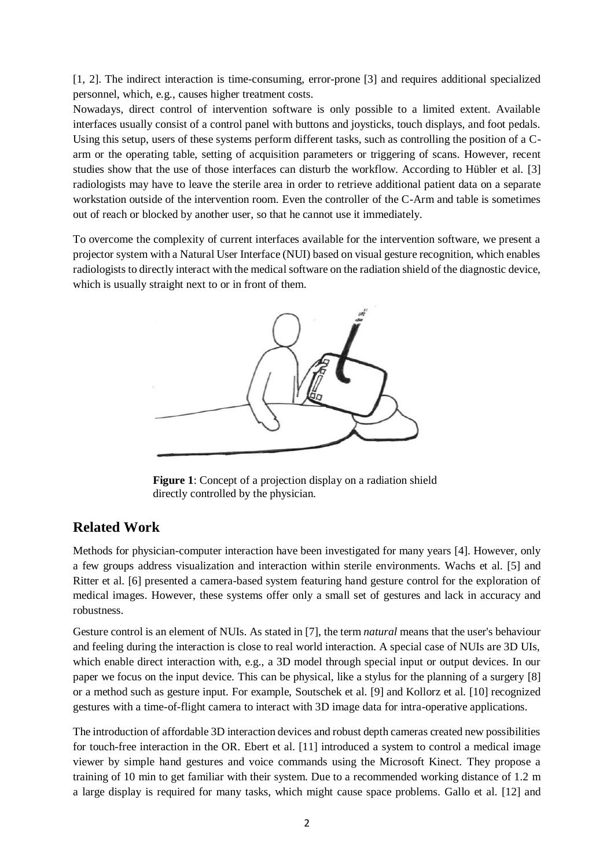[1, 2]. The indirect interaction is time-consuming, error-prone [3] and requires additional specialized personnel, which, e.g., causes higher treatment costs.

Nowadays, direct control of intervention software is only possible to a limited extent. Available interfaces usually consist of a control panel with buttons and joysticks, touch displays, and foot pedals. Using this setup, users of these systems perform different tasks, such as controlling the position of a Carm or the operating table, setting of acquisition parameters or triggering of scans. However, recent studies show that the use of those interfaces can disturb the workflow. According to Hübler et al. [3] radiologists may have to leave the sterile area in order to retrieve additional patient data on a separate workstation outside of the intervention room. Even the controller of the C-Arm and table is sometimes out of reach or blocked by another user, so that he cannot use it immediately.

To overcome the complexity of current interfaces available for the intervention software, we present a projector system with a Natural User Interface (NUI) based on visual gesture recognition, which enables radiologists to directly interact with the medical software on the radiation shield of the diagnostic device, which is usually straight next to or in front of them.



**Figure 1**: Concept of a projection display on a radiation shield directly controlled by the physician.

## **Related Work**

Methods for physician-computer interaction have been investigated for many years [4]. However, only a few groups address visualization and interaction within sterile environments. Wachs et al. [5] and Ritter et al. [6] presented a camera-based system featuring hand gesture control for the exploration of medical images. However, these systems offer only a small set of gestures and lack in accuracy and robustness.

Gesture control is an element of NUIs. As stated in [7], the term *natural* means that the user's behaviour and feeling during the interaction is close to real world interaction. A special case of NUIs are 3D UIs, which enable direct interaction with, e.g., a 3D model through special input or output devices. In our paper we focus on the input device. This can be physical, like a stylus for the planning of a surgery [8] or a method such as gesture input. For example, Soutschek et al. [9] and Kollorz et al. [10] recognized gestures with a time-of-flight camera to interact with 3D image data for intra-operative applications.

The introduction of affordable 3D interaction devices and robust depth cameras created new possibilities for touch-free interaction in the OR. Ebert et al. [11] introduced a system to control a medical image viewer by simple hand gestures and voice commands using the Microsoft Kinect. They propose a training of 10 min to get familiar with their system. Due to a recommended working distance of 1.2 m a large display is required for many tasks, which might cause space problems. Gallo et al. [12] and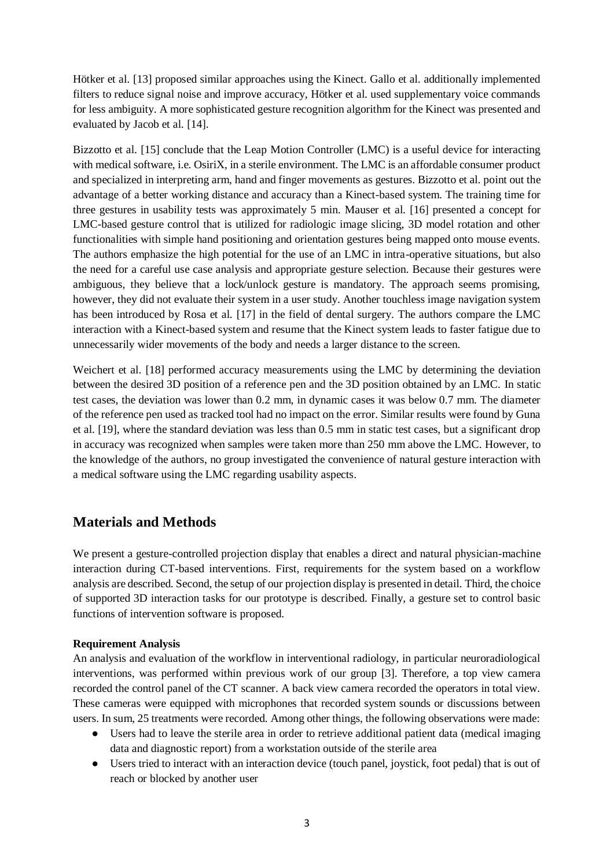Hötker et al. [13] proposed similar approaches using the Kinect. Gallo et al. additionally implemented filters to reduce signal noise and improve accuracy, Hötker et al. used supplementary voice commands for less ambiguity. A more sophisticated gesture recognition algorithm for the Kinect was presented and evaluated by Jacob et al. [14].

Bizzotto et al. [15] conclude that the Leap Motion Controller (LMC) is a useful device for interacting with medical software, i.e. OsiriX, in a sterile environment. The LMC is an affordable consumer product and specialized in interpreting arm, hand and finger movements as gestures. Bizzotto et al. point out the advantage of a better working distance and accuracy than a Kinect-based system. The training time for three gestures in usability tests was approximately 5 min. Mauser et al. [16] presented a concept for LMC-based gesture control that is utilized for radiologic image slicing, 3D model rotation and other functionalities with simple hand positioning and orientation gestures being mapped onto mouse events. The authors emphasize the high potential for the use of an LMC in intra-operative situations, but also the need for a careful use case analysis and appropriate gesture selection. Because their gestures were ambiguous, they believe that a lock/unlock gesture is mandatory. The approach seems promising, however, they did not evaluate their system in a user study. Another touchless image navigation system has been introduced by Rosa et al. [17] in the field of dental surgery. The authors compare the LMC interaction with a Kinect-based system and resume that the Kinect system leads to faster fatigue due to unnecessarily wider movements of the body and needs a larger distance to the screen.

Weichert et al. [18] performed accuracy measurements using the LMC by determining the deviation between the desired 3D position of a reference pen and the 3D position obtained by an LMC. In static test cases, the deviation was lower than 0.2 mm, in dynamic cases it was below 0.7 mm. The diameter of the reference pen used as tracked tool had no impact on the error. Similar results were found by Guna et al. [19], where the standard deviation was less than 0.5 mm in static test cases, but a significant drop in accuracy was recognized when samples were taken more than 250 mm above the LMC. However, to the knowledge of the authors, no group investigated the convenience of natural gesture interaction with a medical software using the LMC regarding usability aspects.

# **Materials and Methods**

We present a gesture-controlled projection display that enables a direct and natural physician-machine interaction during CT-based interventions. First, requirements for the system based on a workflow analysis are described. Second, the setup of our projection display is presented in detail. Third, the choice of supported 3D interaction tasks for our prototype is described. Finally, a gesture set to control basic functions of intervention software is proposed.

#### **Requirement Analysis**

An analysis and evaluation of the workflow in interventional radiology, in particular neuroradiological interventions, was performed within previous work of our group [3]. Therefore, a top view camera recorded the control panel of the CT scanner. A back view camera recorded the operators in total view. These cameras were equipped with microphones that recorded system sounds or discussions between users. In sum, 25 treatments were recorded. Among other things, the following observations were made:

- Users had to leave the sterile area in order to retrieve additional patient data (medical imaging data and diagnostic report) from a workstation outside of the sterile area
- Users tried to interact with an interaction device (touch panel, joystick, foot pedal) that is out of reach or blocked by another user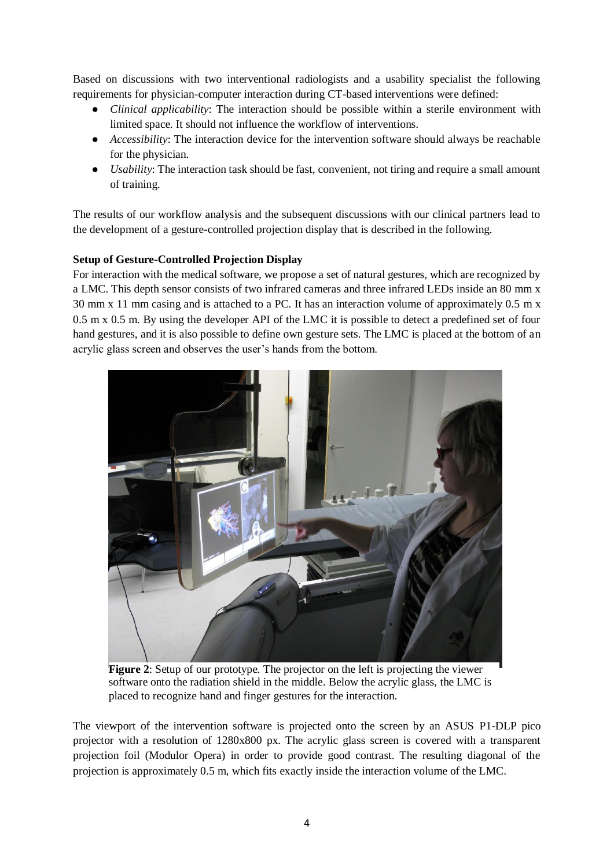Based on discussions with two interventional radiologists and a usability specialist the following requirements for physician-computer interaction during CT-based interventions were defined:

- *Clinical applicability*: The interaction should be possible within a sterile environment with limited space. It should not influence the workflow of interventions.
- *Accessibility*: The interaction device for the intervention software should always be reachable for the physician.
- *Usability*: The interaction task should be fast, convenient, not tiring and require a small amount of training.

The results of our workflow analysis and the subsequent discussions with our clinical partners lead to the development of a gesture-controlled projection display that is described in the following.

#### **Setup of Gesture-Controlled Projection Display**

For interaction with the medical software, we propose a set of natural gestures, which are recognized by a LMC. This depth sensor consists of two infrared cameras and three infrared LEDs inside an 80 mm x 30 mm x 11 mm casing and is attached to a PC. It has an interaction volume of approximately 0.5 m x 0.5 m x 0.5 m. By using the developer API of the LMC it is possible to detect a predefined set of four hand gestures, and it is also possible to define own gesture sets. The LMC is placed at the bottom of an acrylic glass screen and observes the user's hands from the bottom.



**Figure 2**: Setup of our prototype. The projector on the left is projecting the viewer software onto the radiation shield in the middle. Below the acrylic glass, the LMC is placed to recognize hand and finger gestures for the interaction.

<span id="page-3-0"></span>The viewport of the intervention software is projected onto the screen by an ASUS P1-DLP pico projector with a resolution of 1280x800 px. The acrylic glass screen is covered with a transparent projection foil (Modulor Opera) in order to provide good contrast. The resulting diagonal of the projection is approximately 0.5 m, which fits exactly inside the interaction volume of the LMC.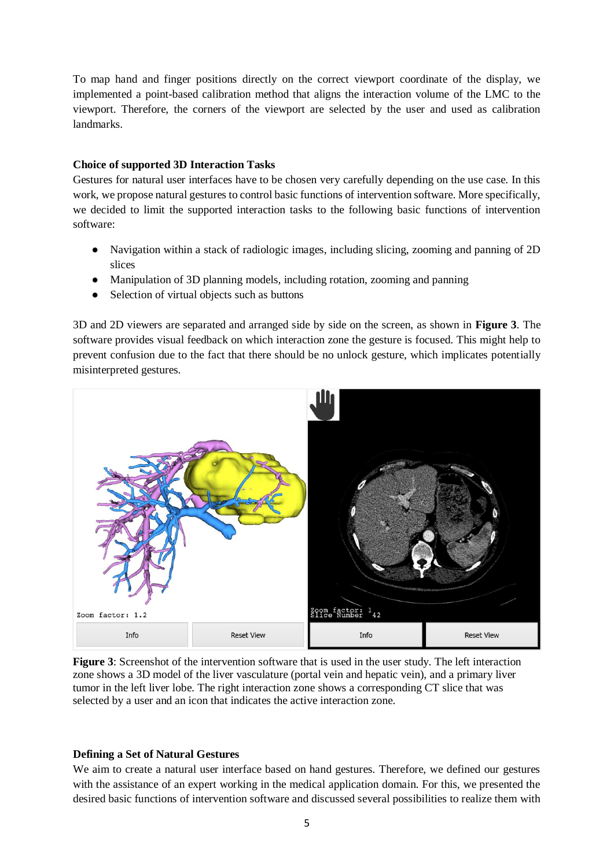To map hand and finger positions directly on the correct viewport coordinate of the display, we implemented a point-based calibration method that aligns the interaction volume of the LMC to the viewport. Therefore, the corners of the viewport are selected by the user and used as calibration landmarks.

#### **Choice of supported 3D Interaction Tasks**

Gestures for natural user interfaces have to be chosen very carefully depending on the use case. In this work, we propose natural gestures to control basic functions of intervention software. More specifically, we decided to limit the supported interaction tasks to the following basic functions of intervention software:

- Navigation within a stack of radiologic images, including slicing, zooming and panning of 2D slices
- Manipulation of 3D planning models, including rotation, zooming and panning
- Selection of virtual objects such as buttons

3D and 2D viewers are separated and arranged side by side on the screen, as shown in **[Figure 3](#page-4-0)**. The software provides visual feedback on which interaction zone the gesture is focused. This might help to prevent confusion due to the fact that there should be no unlock gesture, which implicates potentially misinterpreted gestures.



<span id="page-4-0"></span>**Figure 3**: Screenshot of the intervention software that is used in the user study. The left interaction zone shows a 3D model of the liver vasculature (portal vein and hepatic vein), and a primary liver tumor in the left liver lobe. The right interaction zone shows a corresponding CT slice that was selected by a user and an icon that indicates the active interaction zone.

#### **Defining a Set of Natural Gestures**

We aim to create a natural user interface based on hand gestures. Therefore, we defined our gestures with the assistance of an expert working in the medical application domain. For this, we presented the desired basic functions of intervention software and discussed several possibilities to realize them with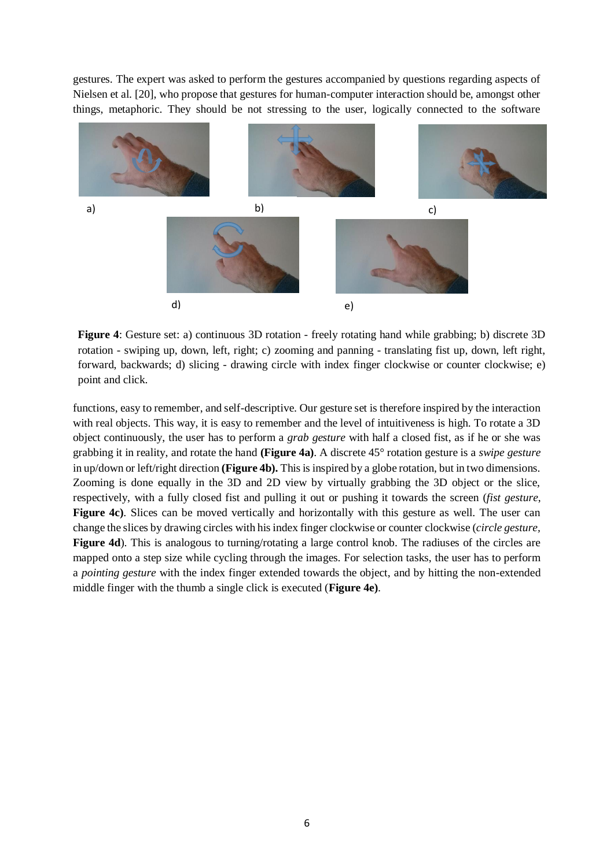gestures. The expert was asked to perform the gestures accompanied by questions regarding aspects of Nielsen et al. [20], who propose that gestures for human-computer interaction should be, amongst other things, metaphoric. They should be not stressing to the user, logically connected to the software



<span id="page-5-0"></span>**Figure 4**: Gesture set: a) continuous 3D rotation - freely rotating hand while grabbing; b) discrete 3D rotation - swiping up, down, left, right; c) zooming and panning - translating fist up, down, left right, forward, backwards; d) slicing - drawing circle with index finger clockwise or counter clockwise; e) point and click.

functions, easy to remember, and self-descriptive. Our gesture set is therefore inspired by the interaction with real objects. This way, it is easy to remember and the level of intuitiveness is high. To rotate a 3D object continuously, the user has to perform a *grab gesture* with half a closed fist, as if he or she was grabbing it in reality, and rotate the hand **[\(Figure 4a](#page-5-0))**. A discrete 45° rotation gesture is a *swipe gesture* in up/down or left/right direction **[\(Figure 4b](#page-5-0)).** This is inspired by a globe rotation, but in two dimensions. Zooming is done equally in the 3D and 2D view by virtually grabbing the 3D object or the slice, respectively, with a fully closed fist and pulling it out or pushing it towards the screen (*fist gesture*, **[Figure 4c](#page-5-0)).** Slices can be moved vertically and horizontally with this gesture as well. The user can change the slices by drawing circles with his index finger clockwise or counter clockwise (*circle gesture,*  **[Figure 4d](#page-5-0)**). This is analogous to turning/rotating a large control knob. The radiuses of the circles are mapped onto a step size while cycling through the images. For selection tasks, the user has to perform a *pointing gesture* with the index finger extended towards the object, and by hitting the non-extended middle finger with the thumb a single click is executed (**[Figure 4e](#page-5-0))**.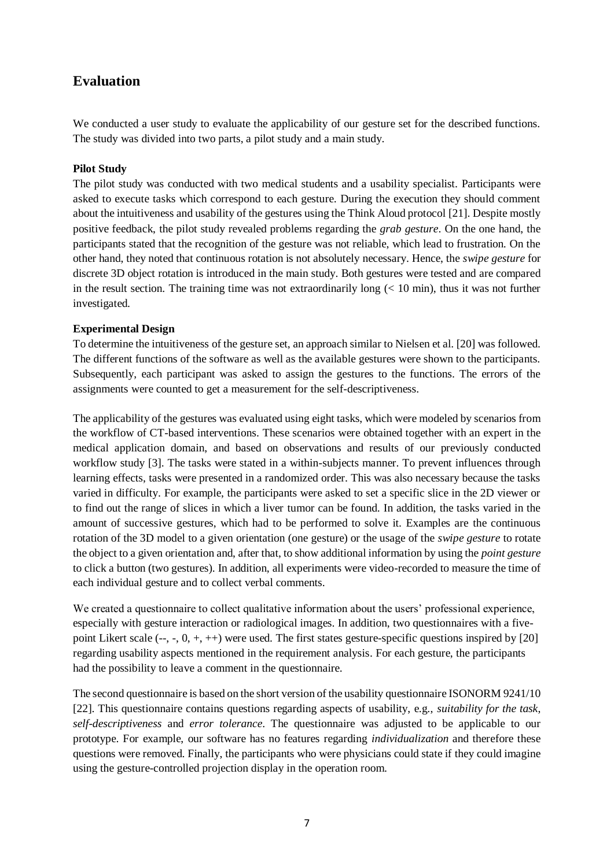# **Evaluation**

We conducted a user study to evaluate the applicability of our gesture set for the described functions. The study was divided into two parts, a pilot study and a main study.

#### **Pilot Study**

The pilot study was conducted with two medical students and a usability specialist. Participants were asked to execute tasks which correspond to each gesture. During the execution they should comment about the intuitiveness and usability of the gestures using the Think Aloud protocol [21]. Despite mostly positive feedback, the pilot study revealed problems regarding the *grab gesture*. On the one hand, the participants stated that the recognition of the gesture was not reliable, which lead to frustration. On the other hand, they noted that continuous rotation is not absolutely necessary. Hence, the *swipe gesture* for discrete 3D object rotation is introduced in the main study. Both gestures were tested and are compared in the result section. The training time was not extraordinarily long  $(< 10 \text{ min})$ , thus it was not further investigated.

#### **Experimental Design**

To determine the intuitiveness of the gesture set, an approach similar to Nielsen et al. [20] was followed. The different functions of the software as well as the available gestures were shown to the participants. Subsequently, each participant was asked to assign the gestures to the functions. The errors of the assignments were counted to get a measurement for the self-descriptiveness.

The applicability of the gestures was evaluated using eight tasks, which were modeled by scenarios from the workflow of CT-based interventions. These scenarios were obtained together with an expert in the medical application domain, and based on observations and results of our previously conducted workflow study [3]. The tasks were stated in a within-subjects manner. To prevent influences through learning effects, tasks were presented in a randomized order. This was also necessary because the tasks varied in difficulty. For example, the participants were asked to set a specific slice in the 2D viewer or to find out the range of slices in which a liver tumor can be found. In addition, the tasks varied in the amount of successive gestures, which had to be performed to solve it. Examples are the continuous rotation of the 3D model to a given orientation (one gesture) or the usage of the *swipe gesture* to rotate the object to a given orientation and, after that, to show additional information by using the *point gesture* to click a button (two gestures). In addition, all experiments were video-recorded to measure the time of each individual gesture and to collect verbal comments.

We created a questionnaire to collect qualitative information about the users' professional experience, especially with gesture interaction or radiological images. In addition, two questionnaires with a fivepoint Likert scale (--, -, 0, +, ++) were used. The first states gesture-specific questions inspired by [20] regarding usability aspects mentioned in the requirement analysis. For each gesture, the participants had the possibility to leave a comment in the questionnaire.

The second questionnaire is based on the short version of the usability questionnaire ISONORM 9241/10 [22]. This questionnaire contains questions regarding aspects of usability, e.g., *suitability for the task*, *self-descriptiveness* and *error tolerance*. The questionnaire was adjusted to be applicable to our prototype. For example, our software has no features regarding *individualization* and therefore these questions were removed. Finally, the participants who were physicians could state if they could imagine using the gesture-controlled projection display in the operation room.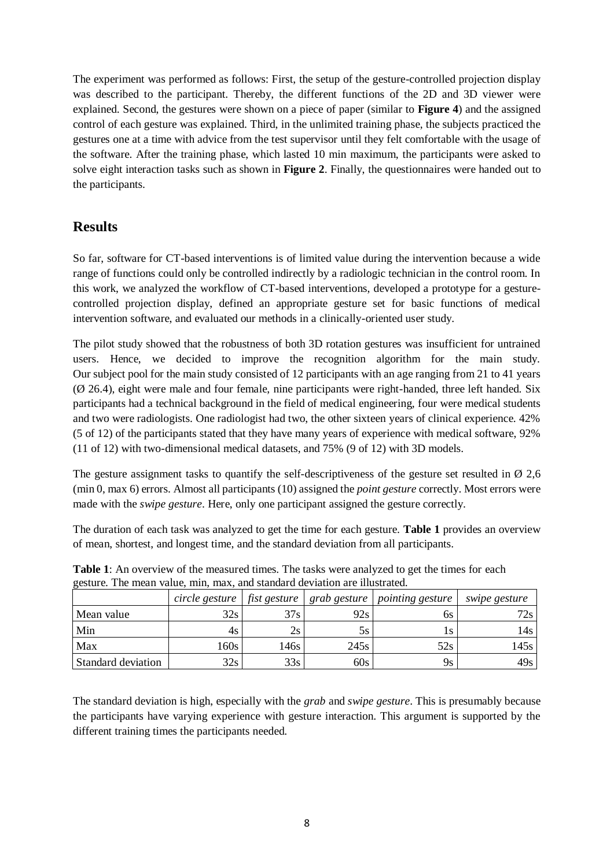The experiment was performed as follows: First, the setup of the gesture-controlled projection display was described to the participant. Thereby, the different functions of the 2D and 3D viewer were explained. Second, the gestures were shown on a piece of paper (similar to **[Figure 4](#page-5-0)**) and the assigned control of each gesture was explained. Third, in the unlimited training phase, the subjects practiced the gestures one at a time with advice from the test supervisor until they felt comfortable with the usage of the software. After the training phase, which lasted 10 min maximum, the participants were asked to solve eight interaction tasks such as shown in **[Figure 2](#page-3-0)**. Finally, the questionnaires were handed out to the participants.

# **Results**

So far, software for CT-based interventions is of limited value during the intervention because a wide range of functions could only be controlled indirectly by a radiologic technician in the control room. In this work, we analyzed the workflow of CT-based interventions, developed a prototype for a gesturecontrolled projection display, defined an appropriate gesture set for basic functions of medical intervention software, and evaluated our methods in a clinically-oriented user study.

The pilot study showed that the robustness of both 3D rotation gestures was insufficient for untrained users. Hence, we decided to improve the recognition algorithm for the main study. Our subject pool for the main study consisted of 12 participants with an age ranging from 21 to 41 years  $(\emptyset$  26.4), eight were male and four female, nine participants were right-handed, three left handed. Six participants had a technical background in the field of medical engineering, four were medical students and two were radiologists. One radiologist had two, the other sixteen years of clinical experience. 42% (5 of 12) of the participants stated that they have many years of experience with medical software, 92% (11 of 12) with two-dimensional medical datasets, and 75% (9 of 12) with 3D models.

The gesture assignment tasks to quantify the self-descriptiveness of the gesture set resulted in  $\varnothing$  2,6 (min 0, max 6) errors. Almost all participants (10) assigned the *point gesture* correctly. Most errors were made with the *swipe gesture*. Here, only one participant assigned the gesture correctly.

The duration of each task was analyzed to get the time for each gesture. **[Table 1](#page-7-0)** provides an overview of mean, shortest, and longest time, and the standard deviation from all participants.

|                    | circle gesture | fist gesture | grab gesture | <i>pointing gesture</i> | <i>swipe gesture</i> |
|--------------------|----------------|--------------|--------------|-------------------------|----------------------|
| Mean value         | 32s            | 37s          | 92s          | 6s                      | 72s                  |
| Min                | 4s             | 2s           | 5s           |                         | 14s I                |
| Max                | 160s           | 146s         | 245s         | 52s                     | 145s                 |
| Standard deviation | 32s            | 33s          | 60s          | 9ς                      | 49s                  |

<span id="page-7-0"></span>**Table 1**: An overview of the measured times. The tasks were analyzed to get the times for each gesture. The mean value, min, max, and standard deviation are illustrated.

The standard deviation is high, especially with the *grab* and *swipe gesture*. This is presumably because the participants have varying experience with gesture interaction. This argument is supported by the different training times the participants needed.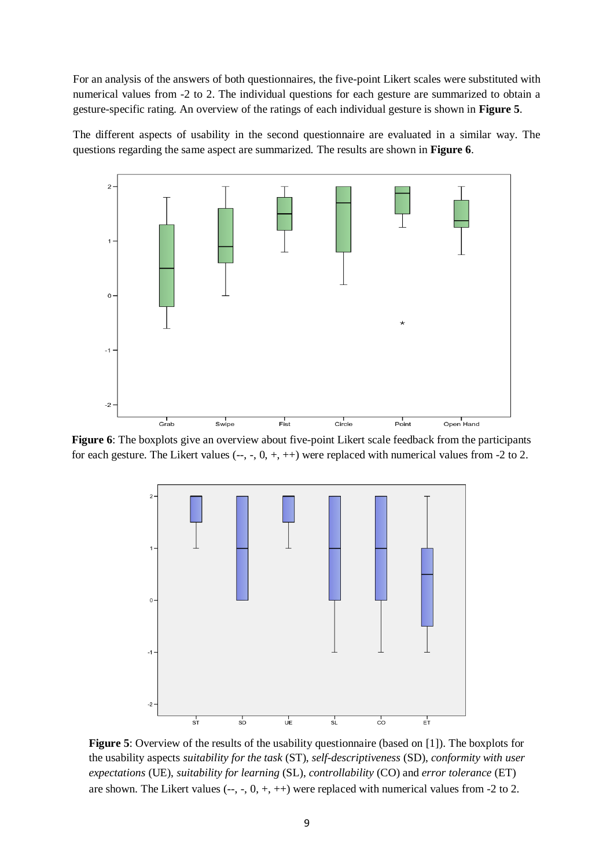For an analysis of the answers of both questionnaires, the five-point Likert scales were substituted with numerical values from -2 to 2. The individual questions for each gesture are summarized to obtain a gesture-specific rating. An overview of the ratings of each individual gesture is shown in **[Figure 5](#page-8-0)**.

The different aspects of usability in the second questionnaire are evaluated in a similar way. The questions regarding the same aspect are summarized. The results are shown in **[Figure](#page-8-1) 6**.



<span id="page-8-0"></span>**Figure 6**: The boxplots give an overview about five-point Likert scale feedback from the participants for each gesture. The Likert values  $(-, -, 0, +, ++)$  were replaced with numerical values from  $-2$  to 2.



<span id="page-8-1"></span>**Figure 5**: Overview of the results of the usability questionnaire (based on [1]). The boxplots for the usability aspects *suitability for the task* (ST), *self-descriptiveness* (SD), *conformity with user expectations* (UE), *suitability for learning* (SL), *controllability* (CO) and *error tolerance* (ET) are shown. The Likert values  $(-, -, 0, +, ++)$  were replaced with numerical values from  $-2$  to 2.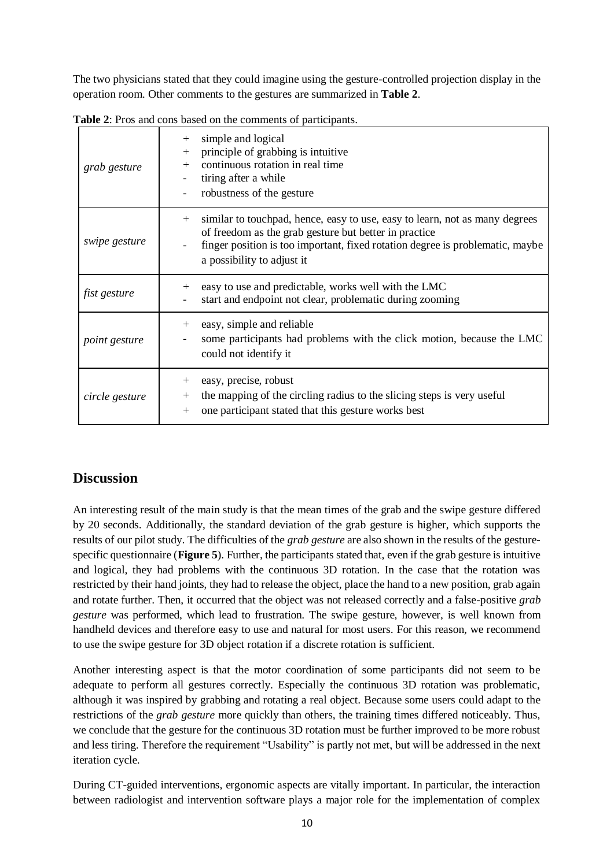The two physicians stated that they could imagine using the gesture-controlled projection display in the operation room. Other comments to the gestures are summarized in **[Table 2](#page-9-0)**.

| grab gesture         | simple and logical<br>$^{+}$<br>principle of grabbing is intuitive<br>$+$<br>continuous rotation in real time<br>$+$<br>tiring after a while<br>robustness of the gesture                                                                                  |
|----------------------|------------------------------------------------------------------------------------------------------------------------------------------------------------------------------------------------------------------------------------------------------------|
| swipe gesture        | similar to touchpad, hence, easy to use, easy to learn, not as many degrees<br>$+$<br>of freedom as the grab gesture but better in practice<br>finger position is too important, fixed rotation degree is problematic, maybe<br>a possibility to adjust it |
| fist gesture         | easy to use and predictable, works well with the LMC<br>$+$<br>start and endpoint not clear, problematic during zooming                                                                                                                                    |
| <i>point gesture</i> | easy, simple and reliable<br>$^{+}$<br>some participants had problems with the click motion, because the LMC<br>could not identify it                                                                                                                      |
| circle gesture       | easy, precise, robust<br>$^{+}$<br>the mapping of the circling radius to the slicing steps is very useful<br>$^{+}$<br>one participant stated that this gesture works best<br>$^{+}$                                                                       |

<span id="page-9-0"></span>**Table 2**: Pros and cons based on the comments of participants.

# **Discussion**

An interesting result of the main study is that the mean times of the grab and the swipe gesture differed by 20 seconds. Additionally, the standard deviation of the grab gesture is higher, which supports the results of our pilot study. The difficulties of the *grab gesture* are also shown in the results of the gesturespecific questionnaire (**[Figure 5](#page-8-0)**). Further, the participants stated that, even if the grab gesture is intuitive and logical, they had problems with the continuous 3D rotation. In the case that the rotation was restricted by their hand joints, they had to release the object, place the hand to a new position, grab again and rotate further. Then, it occurred that the object was not released correctly and a false-positive *grab gesture* was performed, which lead to frustration. The swipe gesture, however, is well known from handheld devices and therefore easy to use and natural for most users. For this reason, we recommend to use the swipe gesture for 3D object rotation if a discrete rotation is sufficient.

Another interesting aspect is that the motor coordination of some participants did not seem to be adequate to perform all gestures correctly. Especially the continuous 3D rotation was problematic, although it was inspired by grabbing and rotating a real object. Because some users could adapt to the restrictions of the *grab gesture* more quickly than others, the training times differed noticeably. Thus, we conclude that the gesture for the continuous 3D rotation must be further improved to be more robust and less tiring. Therefore the requirement "Usability" is partly not met, but will be addressed in the next iteration cycle.

During CT-guided interventions, ergonomic aspects are vitally important. In particular, the interaction between radiologist and intervention software plays a major role for the implementation of complex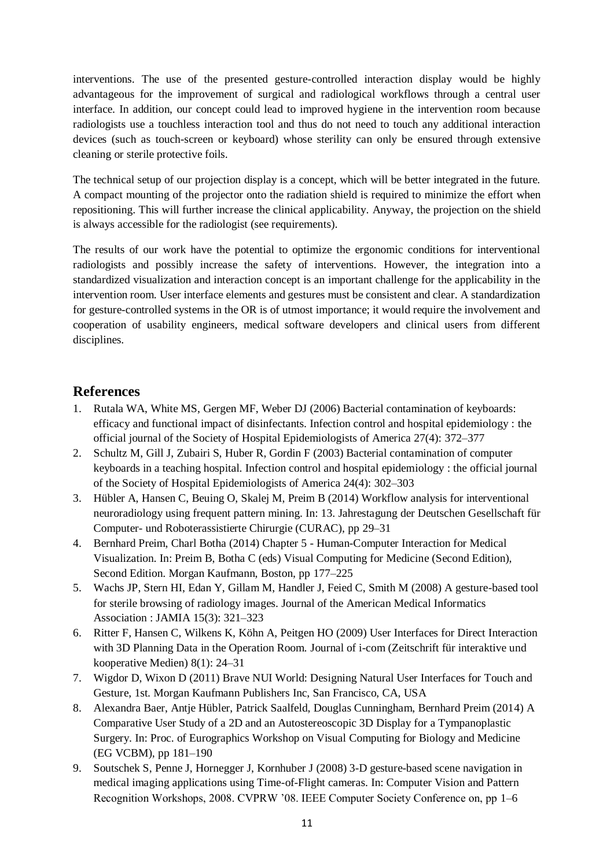interventions. The use of the presented gesture-controlled interaction display would be highly advantageous for the improvement of surgical and radiological workflows through a central user interface. In addition, our concept could lead to improved hygiene in the intervention room because radiologists use a touchless interaction tool and thus do not need to touch any additional interaction devices (such as touch-screen or keyboard) whose sterility can only be ensured through extensive cleaning or sterile protective foils.

The technical setup of our projection display is a concept, which will be better integrated in the future. A compact mounting of the projector onto the radiation shield is required to minimize the effort when repositioning. This will further increase the clinical applicability. Anyway, the projection on the shield is always accessible for the radiologist (see requirements).

The results of our work have the potential to optimize the ergonomic conditions for interventional radiologists and possibly increase the safety of interventions. However, the integration into a standardized visualization and interaction concept is an important challenge for the applicability in the intervention room. User interface elements and gestures must be consistent and clear. A standardization for gesture-controlled systems in the OR is of utmost importance; it would require the involvement and cooperation of usability engineers, medical software developers and clinical users from different disciplines.

## **References**

- 1. Rutala WA, White MS, Gergen MF, Weber DJ (2006) Bacterial contamination of keyboards: efficacy and functional impact of disinfectants. Infection control and hospital epidemiology : the official journal of the Society of Hospital Epidemiologists of America 27(4): 372–377
- 2. Schultz M, Gill J, Zubairi S, Huber R, Gordin F (2003) Bacterial contamination of computer keyboards in a teaching hospital. Infection control and hospital epidemiology : the official journal of the Society of Hospital Epidemiologists of America 24(4): 302–303
- 3. Hübler A, Hansen C, Beuing O, Skalej M, Preim B (2014) Workflow analysis for interventional neuroradiology using frequent pattern mining. In: 13. Jahrestagung der Deutschen Gesellschaft für Computer- und Roboterassistierte Chirurgie (CURAC), pp 29–31
- 4. Bernhard Preim, Charl Botha (2014) Chapter 5 Human-Computer Interaction for Medical Visualization. In: Preim B, Botha C (eds) Visual Computing for Medicine (Second Edition), Second Edition. Morgan Kaufmann, Boston, pp 177–225
- 5. Wachs JP, Stern HI, Edan Y, Gillam M, Handler J, Feied C, Smith M (2008) A gesture-based tool for sterile browsing of radiology images. Journal of the American Medical Informatics Association : JAMIA 15(3): 321–323
- 6. Ritter F, Hansen C, Wilkens K, Köhn A, Peitgen HO (2009) User Interfaces for Direct Interaction with 3D Planning Data in the Operation Room. Journal of i-com (Zeitschrift für interaktive und kooperative Medien) 8(1): 24–31
- 7. Wigdor D, Wixon D (2011) Brave NUI World: Designing Natural User Interfaces for Touch and Gesture, 1st. Morgan Kaufmann Publishers Inc, San Francisco, CA, USA
- 8. Alexandra Baer, Antje Hübler, Patrick Saalfeld, Douglas Cunningham, Bernhard Preim (2014) A Comparative User Study of a 2D and an Autostereoscopic 3D Display for a Tympanoplastic Surgery. In: Proc. of Eurographics Workshop on Visual Computing for Biology and Medicine (EG VCBM), pp 181–190
- 9. Soutschek S, Penne J, Hornegger J, Kornhuber J (2008) 3-D gesture-based scene navigation in medical imaging applications using Time-of-Flight cameras. In: Computer Vision and Pattern Recognition Workshops, 2008. CVPRW '08. IEEE Computer Society Conference on, pp 1–6